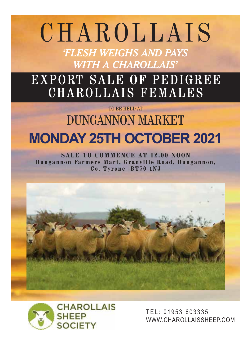# CHAROLLAIS

*'FLESH WEIGHS AND PAYS WITH A CHAROLLAIS'*

# EXPORT SALE OF PEDIGREE CHAROLLAIS FEMALES

# TO BE HELD AT DUNGANNON MARKET

**MONDAY SALE TO COMMENCE AT 12.00 NOON Dungannon Farmers Mart, Granville Road, Dungannon, Co. Tyrone BT70 1NJ**





TEL: 01953 603335 WWW.CHAROLLAISSHEEP.COM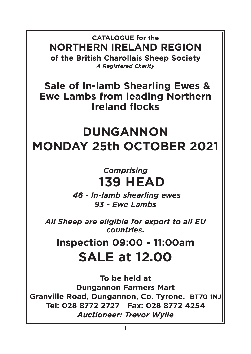**CATALOGUE for the NORTHERN IRELAND REGION of the British Charollais Sheep Society**  *A Registered Charity* 

**Sale of In-lamb Shearling Ewes & Ewe Lambs from leading Northern Ireland flocks** 

# **DUNGANNON MONDAY 25th OCTOBER 2021**

# *Comprising*  **139 HEAD**

 *46 - In-lamb shearling ewes 93 - Ewe Lambs* 

*All Sheep are eligible for export to all EU countries.* 

**Inspection 09:00 - 11:00am SALE at 12.00** 

**To be held at Dungannon Farmers Mart Granville Road, Dungannon, Co. Tyrone. BT70 1NJ Tel: 028 8772 2727 Fax: 028 8772 4254**  *Auctioneer: Trevor Wylie*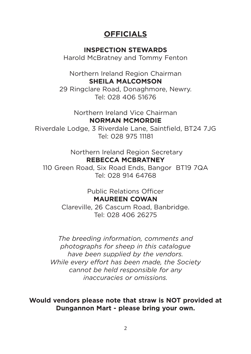## **OFFICIALS**

### **INSPECTION STEWARDS**

Harold McBratney and Tommy Fenton

Northern Ireland Region Chairman **SHEILA MALCOMSON**

29 Ringclare Road, Donaghmore, Newry. Tel: 028 406 51676

> Northern Ireland Vice Chairman **NORMAN MCMORDIE**

Riverdale Lodge, 3 Riverdale Lane, Saintfield, BT24 7JG Tel: 028 975 11181

> Northern Ireland Region Secretary **REBECCA MCBRATNEY**

110 Green Road, Six Road Ends, Bangor BT19 7QA Tel: 028 914 64768

> Public Relations Officer **MAUREEN COWAN**

Clareville, 26 Cascum Road, Banbridge. Tel: 028 406 26275

*The breeding information, comments and photographs for sheep in this catalogue have been supplied by the vendors. While every effort has been made, the Society cannot be held responsible for any inaccuracies or omissions.* 

**Would vendors please note that straw is NOT provided at Dungannon Mart - please bring your own.**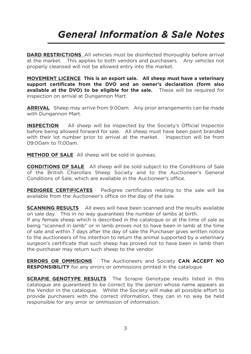# *General Information & Sale Notes*

**DARD RESTRICTIONS** All vehicles must be disinfected thoroughly before arrival at the market. This applies to both vendors and purchasers. Any vehicles not properly cleansed will not be allowed entry into the market.

**MOVEMENT LICENCE This is an export sale. All sheep must have a veterinary support certificate from the DVO and an owner's declaration (form also available at the DVO) to be eligible for the sale.** These will be required for inspection on arrival at Dungannon Mart.

**ARRIVAL** Sheep may arrive from 9.00am. Any prior arrangements can be made with Dungannon Mart.

**INSPECTION** All sheep will be inspected by the Society's Official Inspector before being allowed forward for sale. All sheep must have been paint branded with their lot number prior to arrival at the market. Inspection will be from 09:00am to 11:00am.

**METHOD OF SALE** All sheep will be sold in guineas.

**CONDITIONS OF SALE** All sheep will be sold subject to the Conditions of Sale of the British Charollais Sheep Society and to the Auctioneer's General Conditions of Sale, which are available in the Auctioneer's office.

**PEDIGREE CERTIFICATES** Pedigree certificates relating to the sale will be available from the Auctioneer's office on the day of the sale.

**SCANNING RESULTS** All ewes will have been scanned and the results available on sale day. This in no way guarantees the number of lambs at birth.

If any female sheep which is described in the catalogue or at the time of sale as being "scanned in lamb" or in lamb proves not to have been in lamb at the time of sale and within 7 days after the day of sale the Purchaser gives written notice to the auctioneers of his intention to return the animal supported by a veterinary surgeon's certificate that such sheep has proved not to have been in lamb then the purchaser may return such sheep to the vendor.

**ERRORS OR OMMISIONS** The Auctioneers and Society **CAN ACCEPT NO RESPONSIBILITY** for any errors or ommissions printed in the catalogue

**SCRAPIE GENOTYPE RESULTS** The Scrapie Genotype results listed in this catalogue are guaranteed to be correct by the person whose name appears as the Vendor in the catalogue. Whilst the Society will make all possible effort to provide purchasers with the correct information, they can in no way be held responsible for any error or ommission of information.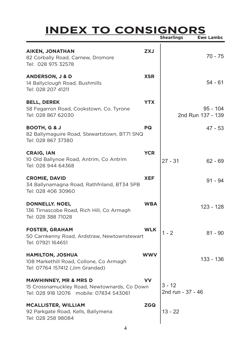# **INDEX TO CONSIGNORS Shearlings Ewe Lambs**

T

| <b>AIKEN, JONATHAN</b><br>82 Corbally Road, Carnew, Dromore<br>Tel: 028 975 32578                                           | <b>ZXJ</b> |                               | 70 - 75                         |
|-----------------------------------------------------------------------------------------------------------------------------|------------|-------------------------------|---------------------------------|
| <b>ANDERSON, J &amp; D</b><br>14 Ballyclough Road, Bushmills<br>Tel: 028 207 41211                                          | <b>XSR</b> |                               | $54 - 61$                       |
| <b>BELL, DEREK</b><br>58 Fegarron Road, Cookstown, Co. Tyrone<br>Tel: 028 867 62030                                         | <b>YTX</b> |                               | $95 - 104$<br>2nd Run 137 - 139 |
| <b>BOOTH, G &amp; J</b><br>82 Ballymaguire Road, Stewartstown, BT71 5NQ<br>Tel: 028 867 37380                               | PQ         |                               | 47 - 53                         |
| <b>CRAIG, IAN</b><br>10 Old Ballynoe Road, Antrim, Co Antrim<br>Tel: 028 944 64368                                          | <b>YCR</b> | $27 - 31$                     | $62 - 69$                       |
| <b>CROMIE, DAVID</b><br>34 Ballynamagna Road, Rathfriland, BT34 5PB<br>Tel: 028 406 30960                                   | <b>XEF</b> |                               | $91 - 94$                       |
| <b>DONNELLY, NOEL</b><br>136 Tirnascobe Road, Rich Hill, Co Armagh<br>Tel: 028 388 71028                                    | <b>WBA</b> |                               | 123 - 128                       |
| <b>FOSTER, GRAHAM</b><br>50 Carnkenny Road, Ardstraw, Newtownstewart<br>Tel: 07921 164651                                   | <b>WLK</b> | $1 - 2$                       | $81 - 90$                       |
| <b>HAMILTON, JOSHUA</b><br>108 Markethill Road, Collone, Co Armagh<br>Tel: 07764 157412 (Jim Grandad)                       | <b>WWV</b> |                               | 133 - 136                       |
| <b>MAWHINNEY, MR &amp; MRS D</b><br>15 Crossnamuckley Road, Newtownards, Co Down<br>Tel: 028 918 12076 mobile: 07834 543061 | vv         | $3 - 12$<br>2nd run - 37 - 46 |                                 |
| <b>MCALLISTER, WILLIAM</b><br>92 Parkgate Road, Kells, Ballymena<br>Tel: 028 258 98084                                      | <b>ZGQ</b> | $13 - 22$                     |                                 |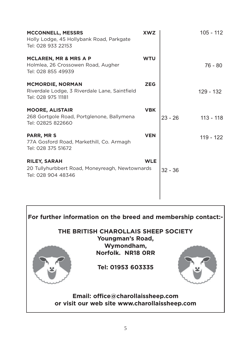| <b>MCCONNELL, MESSRS</b><br>Holly Lodge, 45 Hollybank Road, Parkgate<br>Tel: 028 933 22153     | <b>XWZ</b> |           | $105 - 112$ |
|------------------------------------------------------------------------------------------------|------------|-----------|-------------|
| <b>MCLAREN, MR &amp; MRS A P</b><br>Holmlea, 26 Crossowen Road, Augher<br>Tel: 028 855 49939   | <b>WTU</b> |           | 76 - 80     |
| <b>MCMORDIE, NORMAN</b><br>Riverdale Lodge, 3 Riverdale Lane, Saintfield<br>Tel: 028 975 11181 | <b>ZEG</b> |           | 129 - 132   |
| <b>MOORE, ALISTAIR</b><br>268 Gortgole Road, Portglenone, Ballymena<br>Tel: 02825 822660       | <b>VBK</b> | $23 - 26$ | $113 - 118$ |
| PARR, MR S<br>77A Gosford Road, Markethill, Co. Armagh<br>Tel: 028 375 51672                   | <b>VEN</b> |           | 119 - 122   |
| <b>RILEY, SARAH</b><br>20 Tullyhurbbert Road, Moneyreagh, Newtownards<br>Tel: 028 904 48346    | <b>WLE</b> | $32 - 36$ |             |

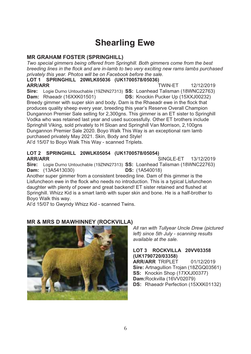#### **THE CONSTRUCT -
-Shearling Ewe**

**---** *Two special gimmers being offered from Springhill. Both gimmers come from the best breeding lines in the flock and are in-lamb to two very exciting new rams lambs purchased privately this year. Photos will be on Facebook before the sale.*

## SPRINGHILL 20WLK05036 (UK1700578/05036)<br><sub>ד</sub>

**ARR/ARR**<br>Sire: Logi **---** -12/12/2019 **Sire:** Logie Durr<br>**Dam:** Rhaeadr Durno Untouchable (19ZNN27313) **SS:** Loanhead Talisman (18WNC22763)<br>adr (16XXK01501) **DS:** Knockin Pucker Un (15XXJ00232) **DS:** Knockin Pucker Up (15XXJ00232<br>Breedy gimmer with super skin and body. Dam is the Rhaeadr ewe in the flock that **DS:** Knockin Pucker Up (15XXJ00232)<br>m is the Rhaeadr ewe in the flock that produces quality sheep every year, breeding this year's Reserve Overall Champion Dungannon Premier Sale selling for 2,300gns. This gimmer is an ET sister to Springhill Vodka who was retained last year and used successfully. Other ET brothers include Springhill Viking, sold privately to H Sloan and Springhill Van Morrison, 2,100gns Dungannon Premier Sale 2020. Boyo Walk This Way is an exceptional ram lamb purchased privately May 2021. Skin, Body and Style! Al'd 15/07 to Boyo Walk This Way - scanned Triplets.

### **------**LOT 2 SPRINGHILL 20WLK05054 (UK1700578/05054) **ARR/ARR**<br>Sire: Logi

*-*<br>SINGLE-ET 13/12/2019

Sire: Logie Durno Untouchable (19ZNN27313) SS: Loanhead Talisman (18WNC22763)<br>Dam: (13A5413030) **DS:** (1A540018) **Dam:** (13A5413030)<br>Another super gimmer **DS:** (1A540018)<br>ding line. Dam of

Another super gimmer from a consistent breeding line. Dam of this gimmer is the Lisfuncheon ewe in the flock who needs no introduction. This is a typical Lisfuncheon daughter with plenty of power and great backend! ET sister retained and flushed at Springhill. Whizz Kid is a smart lamb with super skin and bone. He is a half-brother to Boyo Walk this way.

Al'd 15/07 to Gwyndy Whizz Kid - scanned Twins.



### **MR & MRS D MAWHINNEY (ROCKVILLA)**

*All ran with Tullyear Uncle Drew (pictured left) since 5th July - scanning results available at the sale.* 

### **-#----/!3- LOT 3 ROCKVILLA 20VV03358**

**(UK1790720/03358)**<br>**ARR/ARR** TRIPLET **ARR/ARR** TRIPLET 01/12/2019<br>**Sire:** Artnagullion Trojan (18ZGQ03561) 01/12/2019 **SS:** Knockin Shop (17XXJ00377)<br>**Dam:** Rockvilla (16VV02079) **Dam:**Rockvilla (16VV02079)<br>**DS:** Rhaeadr Perfection (15) **DS:** Rhaeadr Perfection (15XXK01132)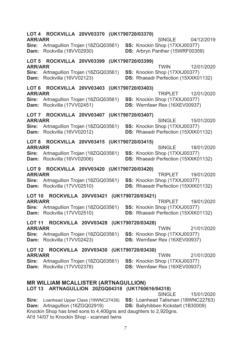| LOT 4<br><b>ARR/ARR</b>            | ROCKVILLA 20VV03370 (UK1790720/03370)                                                                                                                                             |                                       |  |                   | SINGLE                                                                    | 04/12/2019 |
|------------------------------------|-----------------------------------------------------------------------------------------------------------------------------------------------------------------------------------|---------------------------------------|--|-------------------|---------------------------------------------------------------------------|------------|
| Sire:<br>Dam:                      | Artnagullion Trojan (18ZGQ03561)<br>Rockvilla (18VV02930)                                                                                                                         |                                       |  |                   | SS: Knockin Shop (17XXJ00377)<br>DS: Arbryn Panther (15WRF00359)          |            |
| <b>ARR/ARR</b>                     | LOT 5 ROCKVILLA 20VV03399                                                                                                                                                         |                                       |  | (UK1790720/03399) | TWIN                                                                      | 12/01/2020 |
| Sire:<br>Dam:                      | Artnagullion Trojan (18ZGQ03561)<br>Rockvilla (16VV02123)                                                                                                                         |                                       |  |                   | SS: Knockin Shop (17XXJ00377)<br>DS: Rhaeadr Perfection (15XXK01132)      |            |
| LOT <sub>6</sub><br><b>ARR/ARR</b> | ROCKVILLA 20VV03403 (UK1790720/03403)                                                                                                                                             |                                       |  |                   | TRIPI FT                                                                  | 12/01/2020 |
| Sire:<br>Dam:                      | Artnagullion Trojan (18ZGQ03561)<br>Rockvilla (17VV02451)                                                                                                                         |                                       |  |                   | SS: Knockin Shop (17XXJ00377)<br>DS: Wernfawr Rex (16XEV00937)            |            |
| LOT 7<br><b>ARR/ARR</b>            | ROCKVILLA 20VV03407 (UK1790720/03407)                                                                                                                                             |                                       |  |                   | SINGLE                                                                    | 15/01/2020 |
| Sire:<br>Dam:                      | Artnagullion Trojan (18ZGQ03561)<br>Rockvilla (16VV02012)                                                                                                                         |                                       |  |                   | SS: Knockin Shop (17XXJ00377)<br>DS: Rhaeadr Perfection (15XXK01132)      |            |
| LOT 8<br><b>ARR/ARR</b>            | ROCKVILLA 20VV03415 (UK1790720/03415)                                                                                                                                             |                                       |  |                   | SINGLE                                                                    | 18/01/2020 |
| Sire:<br>Dam:                      | Artnagullion Trojan (18ZGQ03561)<br>Rockvilla (16VV02006)                                                                                                                         |                                       |  |                   | SS: Knockin Shop (17XXJ00377)<br>DS: Rhaeadr Perfection (15XXK01132)      |            |
| LOT <sub>9</sub><br><b>ARR/ARR</b> | ROCKVILLA 20VV03420                                                                                                                                                               |                                       |  | (UK1790720/03420) | <b>TRIPLET</b>                                                            | 19/01/2020 |
| Sire:<br>Dam:                      | Artnagullion Trojan (18ZGQ03561)<br>Rockvilla (17VV02510)                                                                                                                         |                                       |  |                   | SS: Knockin Shop (17XXJ00377)<br>DS: Rhaeadr Perfection (15XXK01132)      |            |
| <b>LOT 10</b><br><b>ARR/ARR</b>    |                                                                                                                                                                                   | ROCKVILLA 20VV03421                   |  | (UK1790720/03421) | <b>TRIPLET</b>                                                            | 19/01/2020 |
| Sire:<br>Dam:                      | Artnagullion Trojan (18ZGQ03561)<br>Rockvilla (17VV02510)                                                                                                                         |                                       |  |                   | SS: Knockin Shop (17XXJ00377)<br>DS: Rhaeadr Perfection (15XXK01132)      |            |
| <b>LOT 11</b><br><b>ARR/ARR</b>    |                                                                                                                                                                                   | ROCKVILLA 20VV03428 (UK1790720/03428) |  |                   | <b>TWIN</b>                                                               | 21/01/2020 |
| Sire:<br>Dam:                      | Artnagullion Trojan (18ZGQ03561)<br>Rockvilla (17VV02423)                                                                                                                         |                                       |  |                   | SS: Knockin Shop (17XXJ00377)<br>DS: Wernfawr Rex (16XEV00937)            |            |
| <b>ARR/ARR</b>                     | LOT 12 ROCKVILLA 20VV03430 (UK1790720/03430)                                                                                                                                      |                                       |  |                   | <b>TWIN</b>                                                               | 21/01/2020 |
| Sire:<br>Dam:                      | Artnagullion Trojan (18ZGQ03561)<br>Rockvilla (17VV02378)                                                                                                                         |                                       |  |                   | SS: Knockin Shop (17XXJ00377)<br>DS: Wernfawr Rex (16XEV00937)            |            |
|                                    | <b>MR WILLIAM MCALLISTER (ARTNAGULLION)</b><br>LOT 13 ARTNAGULLION 20ZGQ04318 (UK1760616/04318)                                                                                   |                                       |  |                   | <b>SINGLE</b>                                                             | 15/01/2020 |
| Sire:<br>Dam:                      | Loanhead Upper Class (19WNC27438)<br>Artnagullion (16ZGQ02919)<br>Knockin Shop has bred sons to 4,400gns and daughters to 2,920gns.<br>Al'd 14/07 to Knockin Shop - scanned twins |                                       |  |                   | SS: Loanhead Talisman (18WNC22763)<br>DS: Ballyhibben Kickstart (1B30009) |            |

 $\overline{7}$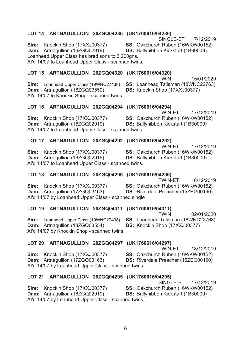### LOT 14 ARTNAGULLION 20ZGQ04286 (UK1760616/04286)

SINGLE-FT 17/12/2019

15/01/2020

SS: Oakchurch Ruben (16WKW00152)

SS: Loanhead Talisman (18WNC22763)

Sire: Knockin Shop (17XXJ00377) Dam: Artnagullion (16ZGQ02919) DS: Ballyhibben Kickstart (1B30009) Loanhead Upper Class has bred sons to 3.200gns.

Al'd 14/07 to Loanhead Upper Class - scanned twins.

### LOT 15 ARTNAGULLION 20ZGQ04320 (UK1760616/04320) **TWIN**

Sire: Loanhead Upper Class (19WNC27438) Dam: Artnagullion (18ZGQ03559) Al'd 14/07 to Knockin Shop - scanned twins

### LOT 16 ARTNAGULLION 20ZGQ04294 (UK1760616/04294)

17/12/2019 Sire: Knockin Shop (17XXJ00377) SS: Oakchurch Ruben (16WKW00152) Dam: Artnagullion (16ZGQ02919) **DS: Ballyhibben Kickstart (1B30009)** Al'd 14/07 to Loanhead Upper Class - scanned twins.

### LOT 17 ARTNAGULLION 20ZGQ04292 (UK1760616/04292)

17/12/2019

Dam: Artnagullion (16ZGQ02919) Al'd 14/07 to Loanhead Upper Class - scanned twins.

### LOT 18 ARTNAGULLION 20ZGQ04296 (UK1760616/04296)

Sire: Knockin Shop (17XXJ00377) Dam: Artnagullion (17ZGQ03163) Al'd 14/07 by Loanhead Upper Class - scanned single

Sire: Knockin Shop (17XXJ00377)

### LOT 19 ARTNAGULLION 20ZGQ04311 (UK1760616/04311)

SS: Loanhead Talisman (18WNC22763) Sire: Loanhead Upper Class (19WNC27438) Dam: Artnagullion (18ZGQ03554) Al'd 14/07 by Knockin Shop - scanned twins

### LOT 20 ARTNAGULLION 20ZGQ04297 (UK1760616/04297)

Sire: Knockin Shop (17XXJ00377) Dam: Artnagullion (17ZGQ03163) Al'd 14/07 by Loanhead Upper Class - scanned twins

Sire: Knockin Shop (17XXJ00377)

Dam: Artnagullion (16ZGQ02919)

### LOT 21 ARTNAGULLION 20ZGQ04295 (UK1760616/04295)

SINGLE-ET 17/12/2019

SS: Oakchurch Ruben (16WKW00152)

**TWIN-ET** 

SS: Oakchurch Ruben (16WKW00152)

DS: Riverdale Preacher (15ZEG00190)

DS: Ballyhibben Kickstart (1B30009)

Al'd 14/07 by Loanhead Upper Class - scanned twins

DS: Knockin Shop (17XXJ00377)

**TWIN-ET** 

TWIN-FT SS: Oakchurch Ruben (16WKW00152)

**DS: Ballyhibben Kickstart (1B30009)** 

TWIN-ET 18/12/2019

02/01/2020

18/12/2019

SS: Oakchurch Ruben (16WKW00152) DS: Riverdale Preacher (15ZEG00190)

**TWIN** 

**DS:** Knockin Shop (17XXJ00377)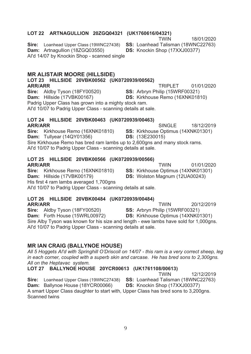### LOT 22 ARTNAGULLION 20ZGQ04321 (UK1760616/04321) **TWIN**

Sire: Loanhead Upper Class (19WNC27438) SS: Loanhead Talisman (18WNC22763) Dam: Artnagullion (18ZGQ03550) Al'd 14/07 by Knockin Shop - scanned single

### **MR ALISTAIR MOORE (HILLSIDE)**

LOT 23 HILLSIDE 20VBK00562 (UK0720939/00562) 01/01/2020 **ARR/ARR TRIPLET** Sire: Aldby Tyson (18FY00520) SS: Arbryn Philip (15WRF00321) Dam: Hillside (17VBK00167) DS: Kirkhouse Remo (16XNK01810)

Padrig Upper Class has grown into a mighty stock ram.

Al'd 10/07 to Padrig Upper Class - scanning details at sale.

### LOT 24 HILLSIDE 20VBK00463 (UK0720939/00463) **ARR/ARR**

SINGLE<sup></sup> 18/12/2019 Sire: Kirkhouse Remo (16XNK01810) SS: Kirkhouse Optimus (14XNK01301) **Dam: Tullvear (14QY01356) DS:** (13E230015) Sire Kirkhouse Remo has bred ram lambs up to 2,600gns and many stock rams. Al'd 10/07 to Padrig Upper Class - scanning details at sale.

### LOT 25 HILLSIDE 20VBK00566 (UK0720939/00566) **ARR/ARR**

**TWIN** 01/01/2020 Sire: Kirkhouse Remo (16XNK01810) SS: Kirkhouse Optimus (14XNK01301) Dam: Hillside (17VBK00179) DS: Wolston Magnum (12UA00243) His first 4 ram lambs averaged 1.700gns

### Al'd 10/07 to Padrig Upper Class - scanning details at sale.

### LOT 26 HILLSIDE 20VBK00484 (UK0720939/00484)

**ARR/ARR** 20/12/2019 **TWIN** Sire: Aldby Tyson (18FY00520) SS: Arbryn Philip (15WRF00321) Dam: Forth House (15WRL00972) **DS:** Kirkhouse Optimus (14XNK01301) Sire Alby Tyson was known for his size and length - ewe lambs have sold for 1,000gns. Al'd 10/07 to Padrig Upper Class - scanning details at sale.

### **MR IAN CRAIG (BALLYNOE HOUSE)**

All 5 Hoggets AI'd with Springhill O'Driscoll on 14/07 - this ram is a very correct sheep, leg in each corner, coupled with a superb skin and carcase. He has bred sons to 2,300gns. All on the Heptavac system.

### LOT 27 BALLYNOE HOUSE 20YCR00613 (UK1761108/00613)

**TWIN** 12/12/2019 Sire: Loanhead Upper Class (19WNC27438) SS: Loanhead Talisman (18WNC22763) DS: Knockin Shop (17XXJ00377)

Dam: Ballynoe House (18YCR00066)

A smart Upper Class daughter to start with, Upper Class has bred sons to 3,200gns. Scanned twins

18/01/2020

DS: Knockin Shop (17XXJ00377)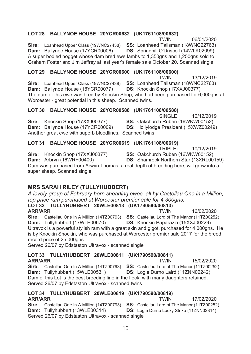### LOT 28 BALLYNOE HOUSE 20YCR00632 (UK1761108/00632)

**TWIN** 06/01/2020 Sire: Loanhead Upper Class (19WNC27438) SS: Loanhead Talisman (18WNC22763) Dam: Ballynoe House (17YCR00006) **DS: Springhill O'Driscoll (14WLK02099)** A super bodied hogget whose dam bred ewe lambs to 1.350gns and 1.250gns sold to Graham Foster and Jim Jeffrey at last year's female sale October 20. Scanned single

### LOT 29 BALLYNOE HOUSE 20YCR00600 (UK1761108/00600)

**TWIN** 13/12/2019 Sire: Loanhead Upper Class (19WNC27438) SS: Loanhead Talisman (18WNC22763) Dam: Ballynoe House (18YCR00077) DS: Knockin Shop (17XXJ00377) The dam of this ewe was bred by Knockin Shop, who had been purchased for 6,000qns at Worcester - great potential in this sheep. Scanned twins.

### LOT 30 BALLYNOE HOUSE 20YCR00588 (UK1761108/00588)

SINGLE<sup>1</sup> 12/12/2019 SS: Oakchurch Ruben (16WKW00152)

Sire: Knockin Shop (17XXJ00377) Dam: Ballynoe House (17YCR00009) Another great ewe with superb bloodlines. Scanned twins

### LOT 31 BALLYNOE HOUSE 20YCR00619 (UK1761108/00619)

SS: Oakchurch Ruben (16WKW00152) Sire: Knockin Shop (17XXJ00377) Dam: Arbryn (16WRF00400) **DS:** Shamrock Northern Star (13XRL00159) Dam was purchased from Arwyn Thomas, a real depth of breeding here, will grow into a super sheep. Scanned single

### **MRS SARAH RILEY (TULLYHUBBERT)**

A lovely group of February born shearling ewes, all by Castellau One in a Million, top price ram purchased at Worcester premier sale for 4,300gns. LOT 32 TULLYHUBBERT 20WLE00813 (UK1790590/00813)

**ARR/ARR TWIN** 16/02/2020 Sire: Castellau One In A Million (14TZ00793) SS: Castellau Lord of The Manor (11TZ00252) Dam: Tullyhubbert (17WLE00670) **DS:** Knockin Paparazzi (15XXJ00229) Ultravox is a powerful stylish ram with a great skin and gigot, purchased for 4,000gns. He is by Knockin Shockin, who was purchased at Worcester premier sale 2017 for the breed record price of 25,000qns.

Served 26/07 by Edstaston Ultravox - scanned single

#### LOT 33 TULLYHUBBERT 20WLE00811 (UK1790590/00811) **ARR/ARR TWIN**

Sire: Castellau One In A Million (14TZ00793) SS: Castellau Lord of The Manor (11TZ00252) Dam: Tullyhubbert (15WLE00531) DS: Logie Durno Laird (11ZNN02242) Dam of this Lot is the best breeding line in the flock, with many daughters retained. Served 26/07 by Edstaston Ultravox - scanned twins

#### LOT 34 TULLYHUBBERT 20WLE00819 (UK1790590/00819) **ARR/ARR TWIN**

17/02/2020 Sire: Castellau One In A Million (14TZ00793) SS: Castellau Lord of The Manor (11TZ00252) Dam: Tullyhubbert (13WLE00314) DS: Logie Durno Lucky Strike (11ZNN02314) Served 26/07 by Edstaston Ultravox - scanned single

**TRIPLET** 10/12/2019

15/02/2020

DS: Hollylodge President (15XWZ00249)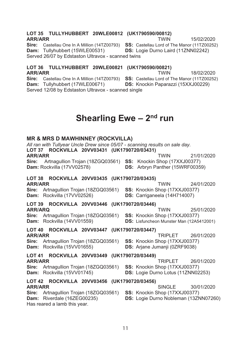#### LOT 35 TULLYHUBBERT 20WLE00812 (UK1790590/00812) **ARR/ARR TWIN**

Sire: Castellau One In A Million (14TZ00793) SS: Castellau Lord of The Manor (11TZ00252) Dam: Tullyhubbert (15WLE00531) DS: Logie Durno Laird (11ZNN02242) Served 26/07 by Edstaston Ultravox - scanned twins

LOT 36 TULLYHUBBERT 20WLE00821 (UK1790590/00821) **ARR/ARR TWIN** 18/02/2020 Sire: Castellau One In A Million (14TZ00793) SS: Castellau Lord of The Manor (11TZ00252) Dam: Tullyhubbert (17WLE00671) **DS:** Knockin Paparazzi (15XXJ00229)

Served 12/08 by Edstaston Ultravox - scanned single

# Shearling Ewe  $-2<sup>nd</sup>$  run

### **MR & MRS D MAWHINNEY (ROCKVILLA)**

All ran with Tullyear Uncle Drew since 05/07 - scanning results on sale day. LOT 37 ROCKVILLA 20VV03431 (UK1790720/03431) **ARR/ARR TWIN** 21/01/2020 Artnagullion Trojan (18ZGQ03561) SS: Knockin Shop (17XXJ00377) Sire: Dam: Rockvilla (17VV02578) DS: Arbryn Panther (15WRF00359) LOT 38 ROCKVILLA 20VV03435 (UK1790720/03435) **ARR/ARR TWIN** 24/01/2020 Sire: Artnagullion Trojan (18ZGQ03561) SS: Knockin Shop (17XXJ00377) Dam: Rockvilla (17VV02526) DS: Carriganeela (14H714007)

### LOT 39 ROCKVILLA 20VV03446 (UK1790720/03446)

**TWIN ARR/ARQ** 25/01/2020 Sire: Artnagullion Trojan (18ZGQ03561) SS: Knockin Shop (17XXJ00377) Dam: Rockvilla (14VV01559) DS: Lisfuncheon Munster Man (12A5412001)

### LOT 40 ROCKVILLA 20VV03447 (UK1790720/03447) **ARR/ARR**

Sire: Artnagullion Trojan (18ZGQ03561) Dam: Rockvilla (15VV01655)

#### **TRIPLET** 26/01/2020 SS: Knockin Shop (17XXJ00377) DS: Arjane Jumanji (0ZRF9038)

### LOT 41 ROCKVILLA 20VV03449 (UK1790720/03449) **ARR/ARR**

Sire: Artnagullion Trojan (18ZGQ03561) Dam: Rockvilla (15VV01745)

- **TRIPLET** 26/01/2020 SS: Knockin Shop (17XXJ00377)
- **DS:** Logie Durno Lotus (11ZNN02253)

### LOT 42 ROCKVILLA 20VV03456 (UK1790720/03456) **ARR/ARR**

Sire: Artnagullion Trojan (18ZGQ03561) Dam: Riverdale (16ZEG00235) Has reared a lamb this year.

- SINGLE<sup>1</sup> 30/01/2020 SS: Knockin Shop (17XXJ00377)
- **DS:** Logie Durno Nobleman (13ZNN07260)

15/02/2020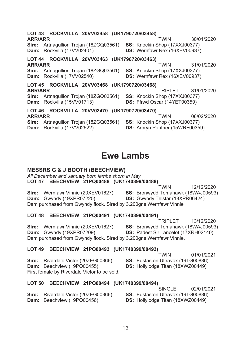| LOT 43 ROCKVILLA 20VV03458 (UK1790720/03458)<br><b>ARR/ARR</b><br>Artnagullion Trojan (18ZGQ03561)<br>Sire:<br>Dam: Rockvilla (17VV02401)        | 30/01/2020<br>TWIN<br>SS: Knockin Shop (17XXJ00377)<br>DS: Wernfawr Rex (16XEV00937)               |
|--------------------------------------------------------------------------------------------------------------------------------------------------|----------------------------------------------------------------------------------------------------|
| LOT 44 ROCKVILLA 20VV03463 (UK1790720/03463)<br><b>ARR/ARR</b><br><b>Sire:</b> Artnagullion Trojan (18ZGQ03561)<br>Dam: Rockvilla (17VV02540)    | 31/01/2020<br><b>TWIN</b><br>SS: Knockin Shop (17XXJ00377)<br><b>DS:</b> Wernfawr Rex (16XEV00937) |
| LOT 45 ROCKVILLA 20VV03468 (UK1790720/03468)<br><b>ARR/ARR</b><br>Artnagullion Trojan (18ZGQ03561)<br>Sire:<br>Dam: Rockvilla (15VV01713)        | TRIPLET 31/01/2020<br>SS: Knockin Shop (17XXJ00377)<br>DS: Ffrwd Oscar (14YET00359)                |
| LOT 46 ROCKVILLA 20VV03470 (UK1790720/03470)<br><b>ARR/ARR</b><br><b>Sire:</b> Artnagullion Trojan (18ZGQ03561)<br>Rockvilla (17VV02622)<br>Dam: | 06/02/2020<br>TWIN<br><b>SS:</b> Knockin Shop (17XXJ00377)<br>DS: Arbryn Panther (15WRF00359)      |

### **Ewe Lambs**

### **MESSRS G & J BOOTH (BEECHVIEW)**

All December and January born lambs shorn in May.

LOT 47 BEECHVIEW 21PQ00488 (UK1740399/00488)

**TWIN** 12/12/2020 Sire: Wernfawr Vinnie (20XEV01627) SS: Bronwydd Tomahawk (18WAJ00593) **Dam:** Gwyndy (19XPR07220) DS: Gwyndy Telstar (18XPR06424) Dam purchased from Gwyndy flock. Sired by 3,200gns Wernfawr Vinnie

### LOT 48 BEECHVIEW 21PQ00491 (UK1740399/00491)

**TRIPLET** 13/12/2020 Sire: Wernfawr Vinnie (20XEV01627) SS: Bronwydd Tomahawk (18WAJ00593) **Dam:** Gwyndy (19XPR07209) DS: Padest Sir Lancelot (17XRH02140) Dam purchased from Gwyndy flock. Sired by 3,200gns Wernfawr Vinnie.

# LOT 49 BEECHVIEW 21PQ00493 (UK1740399/00493)

|                                              | TWIN                                      | 01/01/2021 |
|----------------------------------------------|-------------------------------------------|------------|
| <b>Sire:</b> Riverdale Victor (20ZEG00366)   | <b>SS: Edstaston Ultravox (19TG00886)</b> |            |
| <b>Dam:</b> Beechview (19PQ00455)            | <b>DS:</b> Hollylodge Titan (18XWZ00449)  |            |
| First female by Riverdale Victor to be sold. |                                           |            |

### LOT 50 BEECHVIEW 21PQ00494 (UK1740399/00494)

|                                            | 02/01/2021<br>SINGLE                      |
|--------------------------------------------|-------------------------------------------|
| <b>Sire:</b> Riverdale Victor (20ZEG00366) | <b>SS:</b> Edstaston Ultravox (19TG00886) |
| <b>Dam:</b> Beechview (19PQ00456)          | <b>DS:</b> Hollylodge Titan (18XWZ00449)  |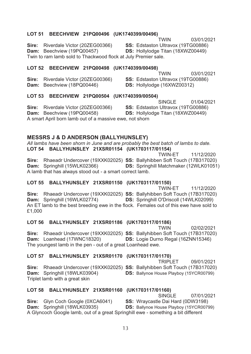### LOT 51 BEECHVIEW 21PQ00496 (UK1740399/00496)

**TWIN** 03/01/2021 Sire: Riverdale Victor (20ZEG00366) SS: Edstaston Ultravox (19TG00886) Dam: Beechview (19PQ00457) DS: Hollylodge Titan (18XWZ00449) Twin to ram lamb sold to Thackwood flock at July Premier sale.

### LOT 52 BEECHVIEW 21PQ00498 (UK1740399/00498)

**TWIN** 03/01/2021 Sire: Riverdale Victor (20ZEG00366) SS: Edstaston Ultravox (19TG00886) Dam: Beechview (18PQ00446) DS: Hollylodge (16XWZ00312)

### LOT 53 BEECHVIEW 21PQ00504 (UK1740399/00504)

SINGLE 01/04/2021 Sire: Riverdale Victor (20ZEG00366) SS: Edstaston Ultravox (19TG00886) Dam: Beechview (19PQ00458) DS: Hollylodge Titan (18XWZ00449) A smart April born lamb out of a massive ewe, not shorn

### **MESSRS J & D ANDERSON (BALLYHUNSLEY)**

All lambs have been shorn in June and are probably the best batch of lambs to date. LOT 54 BALLYHUNSLEY 21XSR01154 (UK1703117/01154)

**TWIN-ET** 11/12/2020 Sire: Rhaeadr Undercover (19XXK02025) SS: Ballyhibben Soft Touch (17B317020) Dam: Springhill (15WLK02366) DS: Springhill Matchmaker (12WLK01051) A lamb that has always stood out - a smart correct lamb.

### LOT 55 BALLYHUNSLEY 21XSR01150 (UK1703117/01150)

**TWIN-ET** 11/12/2020 Sire: Rhaeadr Undercover (19XXK02025) SS: Ballyhibben Soft Touch (17B317020) Dam: Springhill (16WLK02774) DS: Springhill O'Driscoll (14WLK02099) An ET lamb to the best breeding ewe in the flock. Females out of this ewe have sold to £1,000

### LOT 56 BALLYHUNSLEY 21XSR01186 (UK1703117/01186)

Sire: Rhaeadr Undercover (19XXK02025) SS: Ballyhibben Soft Touch (17B317020) Dam: Loanhead (17WNC18320) DS: Logie Durno Regal (16ZNN15346) The voungest lamb in the pen - out of a great Loanhead ewe.

### LOT 57 BALLYHUNSLEY 21XSR01170 (UK1703117/01170)

**TRIPLET** 09/01/2021 Sire: Rhaeadr Undercover (19XXK02025) SS: Ballyhibben Soft Touch (17B317020) Dam: Springhill (18WLK03904) **DS:** Ballynoe House Playboy (15YCR00799) Triplet lamb with a great skin

### LOT 58 BALLYHUNSLEY 21XSR01160 (UK1703117/01160)

**SINGLE** 07/01/2021 SS: Wraycastle Dai Hard (0DW3198)

Sire: Glyn Coch Google (0XCA6041) **DS:** Ballynoe House Playboy (15YCR00799)

Dam: Springhill (18WLK03935) A Glyncoch Google lamb, out of a great Springhill ewe - something a bit different

**TWIN** 02/02/2021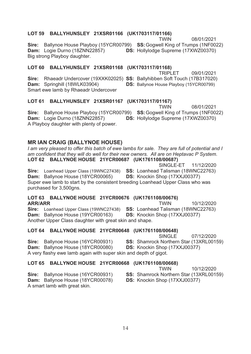# LOT 59 BALLYHUNSLEY 21XSR01166 (UK1703117/01166)

**TWIN** 08/01/2021 Sire: Ballynoe House Playboy (15YCR00799) SS: Gogwell King of Trumps (1NF0022) **Dam:** Logie Durno (18ZNN22857) **DS:**<br>Big strong Playboy daughter Hollylodge Supreme (17XWZ00370) Big strong Playboy daughter.

### LOT 60 BALLYHUNSLEY 21XSR01168 (UK1703117/01168)<br>TRIPL **TRIPLET**

Sire: Rhaeadr Undercover (19XXK02025) SS: Ballyhibben Soft Touch (17B317020) **Dam:** Springhill (18WLK03904) **DS:** Ballynoe Smart ewe lamb by Rhaeadr Undercover

# LOT 61 BALLYHUNSLEY 21XSR01167 (UK1703117/01167)<br>TWIN

**TWIN** 08/01/2021 Sire: Ballynoe House Playboy (15YCR00799) SS: Gogwell King of Trumps (1NF0022) **Dam:** Logie Durno (18ZNN22857) **DS:**<br>A Playboy daughter with plenty of nower Hollylodge Supreme (17XWZ00370) A Playboy daughter with plenty of power.

# **MR IAN CRAIG (BALLYNOE HOUSE)**<br>*I am very pleased to offer this batch of ewe I*

*I am very pleased to offer this batch of ewe lambs for sale. They are full of potential and I am confident that they will do well for their new owners. All are on Heptavac P System.*   **/! !!**

11/12/2020 Sire: Loanhead Upper Class (19WNC27438) SS: Loanhead Talisman (18WNC22763) **Dam:** Ballynoe House (18YCR00065) **DS:** Knockin<br>Super ewe lamb to start by the consistent breeding Loanbe Shop (17XXJ00377) Super ewe lamb to start by the consistent breeding Loanhead Upper Class who was purchased for 3,500gns.

#### **/ !** ARR/ARR **TWIN**

10/12/2020 Sire: Loanhead Upper Class (19WNC27438) SS: Loanhead Talisman (18WNC22763) **Dam:** Ballynoe House (19YCR001<br>Another Unner Class daughter with 63) **DS:** Knockin Shop (17XXJ00377) Another Upper Class daughter with great skin and shape.

# **LOT 64 BALLYNOE HOUSE 21YCR00648 (UK1761108/00648)**<br>SINGLE

 $SINGL$   $F$ 07/12/2020

**SS:** Shamrock Northern Star (13XRL00159)

8YCR00080) **DS:** Knockin Shop (17XXJ00377)

**Dam:** Ballynoe House (1<br>A very flashy ewe lamb ac A very flashy ewe lamb again with super skin and depth of gigot.

# LOT 65 BALLYNOE HOUSE 21YCR00668 (UK1761108/00668)

**TWIN** 10/12/2020

**SS:** Shamrock Northern Star (13XRL00159)

Sire: Ballynoe House (16YCR00931 **Dam:** Ballynoe House (18YCR00078) **DS:** Knockin<br>A smart lamb with great skin A smart lamb with great skin.

Sire: Ballynoe House (16YCR00931

Shop (17XXJ00377)

SINGLE-FT

House Playboy (15YCR00799)

09/01/2021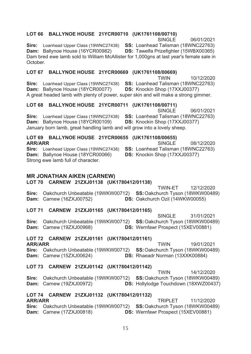### LOT 66 BALLYNOE HOUSE 21YCR00710 (UK1761108/00710)

SINGLE 06/01/2021

Sire: Loanhead Upper Class (19WNC27438) SS: Loanhead Talisman (18WNC22763) Dam: Ballynoe House (16YCR00982) DS: Tawelfa Prizefighter (15WBX00365) Dam bred ewe lamb sold to William McAllister for 1,000gns at last year's female sale in October.

### LOT 67 BALLYNOE HOUSE 21YCR00669 (UK1761108/00669)

**TWIN** 10/12/2020 Sire: Loanhead Upper Class (19WNC27438) SS: Loanhead Talisman (18WNC22763) Dam: Ballynoe House (18YCR00077) DS: Knockin Shop (17XXJ00377) A great headed lamb with plenty of power, super skin and will make a strong gimmer.

### LOT 68 BALLYNOE HOUSE 21YCR00711 (UK1761108/00711)

SINGLE 06/01/2021 Sire: Loanhead Upper Class (19WNC27438) SS: Loanhead Talisman (18WNC22763) Dam: Ballynoe House (18YCR00109) DS: Knockin Shop (17XXJ00377) January born lamb, great handling lamb and will grow into a lovely sheep.

### LOT 69 BALLYNOE HOUSE 21YCR00655 (UK1761108/00655)

**ARR/ARR** Sire: Loanhead Upper Class (19WNC27438) SS: Loanhead Talisman (18WNC22763) Dam: Ballynoe House (18YCR00066) Strong ewe lamb full of character.

### **MR JONATHAN AIKEN (CARNEW)**

### LOT 70 CARNEW 21ZXJ01138 (UK1780412/01138)

TWIN-FT 12/12/2020 Sire: Oakchurch Unbeatable (19WKW00712) SS: Oakchurch Tyson (18WKW00489) **Dam:** Carnew (16ZXJ00752) DS: Oakchurch Ozil (14WKW00055)

### LOT 71 CARNEW 21ZXJ01165 (UK1780412/01165)

SINGLE 31/01/2021 Sire: Oakchurch Unbeatable (19WKW00712) SS: Oakchurch Tyson (18WKW00489) **Dam:** Carnew (19ZXJ00968) DS: Wernfawr Prospect (15XEV00881)

### LOT 72 CARNEW 21ZXJ01161 (UK1780412/01161)

**ARR/ARR TWIN** 19/01/2021 Sire: Oakchurch Unbeatable (19WKW00712) SS: Oakchurch Tyson (18WKW00489) **Dam:** Carnew (15ZXJ00624) DS: Rhaeadr Norman (13XXK00884)

### LOT 73 CARNEW 21ZXJ01142 (UK1780412/01142)

**TWIN** 14/12/2020 Sire: Oakchurch Unbeatable (19WKW00712) SS: Oakchurch Tyson (18WKW00489) **Dam:** Carnew (19ZXJ00972) DS: Hollylodge Touchdown (18XWZ00437)

### LOT 74 CARNEW 21ZXJ01132 (UK1780412/01132) **ARR/ARR**

TRIPI FT 11/12/2020 Sire: Oakchurch Unbeatable (19WKW00712) SS: Oakchurch Tyson (18WKW00489) **Dam:** Carnew (17ZXJ00818) **DS: Wernfawr Prospect (15XEV00881)** 

**SINGLE** 08/12/2020

**DS:** Knockin Shop (17XXJ00377)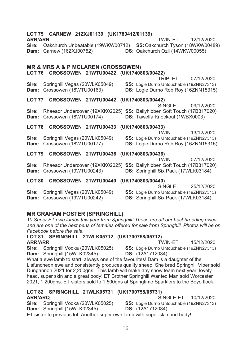| LOT 75 CARNEW 21ZXJ01139 (UK1780412/01139)<br><b>ARR/ARR</b><br><b>TWIN-FT</b><br>12/12/2020<br>Oakchurch Unbeatable (19WKW00712)<br>SS: Oakchurch Tyson (18WKW00489)<br>Sire:<br>DS: Oakchurch Ozil (14WKW00055)<br>Carnew (16ZXJ00752)<br>Dam: |
|--------------------------------------------------------------------------------------------------------------------------------------------------------------------------------------------------------------------------------------------------|
| <b>MR &amp; MRS A &amp; P MCLAREN (CROSSOWEN)</b><br>LOT 76 CROSSOWEN 21WTU00422 (UK1740803/00422)<br><b>TRIPLET</b><br>07/12/2020                                                                                                               |
| Springhill Vegas (20WLK05049)<br>SS: Logie Durno Untouchable (19ZNN27313)<br>Sire:<br>Crossowen (18WTU00163)<br>DS: Logie Durno Rob Roy (16ZNN15315)<br>Dam:                                                                                     |
| LOT 77<br>CROSSOWEN 21WTU00442 (UK1740803/00442)<br><b>SINGLE</b><br>09/12/2020                                                                                                                                                                  |
| Rhaeadr Undercover (19XXK02025) SS: Ballyhibben Soft Touch (17B317020)<br>Sire:<br>Crossowen (18WTU00174)<br>DS: Tawelfa Knockout (1WBX0003)<br>Dam:                                                                                             |
| LOT 78 CROSSOWEN 21WTU00433 (UK1740803/00433)<br><b>TWIN</b><br>13/12/2020                                                                                                                                                                       |
| Sire:<br>Springhill Vegas (20WLK05049)<br>SS: Logie Durno Untouchable (19ZNN27313)<br>Crossowen (18WTU00177)<br>DS: Logie Durno Rob Roy (16ZNN15315)<br>Dam:                                                                                     |
| LOT 79 CROSSOWEN 21WTU00436 (UK1740803/00436)                                                                                                                                                                                                    |
| <b>TWIN</b><br>07/12/2020<br>Rhaeadr Undercover (19XXK02025) SS: Ballyhibben Soft Touch (17B317020)<br>Sire:<br>Crossowen (19WTU00243)<br>DS: Springhill Six Pack (17WLK03184)<br>Dam:                                                           |
| LOT 80 CROSSOWEN 21WTU00440 (UK1740803/00440)<br><b>SINGLE</b><br>25/12/2020                                                                                                                                                                     |
| Sire:<br>Springhill Vegas (20WLK05049)<br>SS: Logie Durno Untouchable (19ZNN27313)<br>DS: Springhill Six Pack (17WLK03184)<br>Crossowen (19WTU00242)<br>Dam:                                                                                     |
| <b>MR GRAHAM FOSTER (SPRINGHILL)</b><br>10 Super ET ewe lambs this year from Springhill! These are off our best breeding ewes<br>and are one of the best pens of females offered for sale from Springhill. Photos will be on                     |

*Facebook before the sale.* 

 $\text{LOT 81}$  SPRINGHILL 21WLK05712 (UK1700758/05712) ARR/ARR
TWIN-ET

15/12/2020

Sire: Springhill Vodka (20WLK05025) SS: Logie Durno Untouchable (19ZNN27313)<br>Dam: Springhill (15WLK02345) DS: (12A1712034) **Dam:** Springhill (15WLK02345)

What a ewe lamb to start, always one of the favourites! Dam is a daughter of the Lisfuncheon ewe and consistently produces quality sheep. She bred Springhill Viper sold Dungannon 2021 for 2,200gns. This lamb will make any show team next year, lovely head, super skin and a great body! ET Brother Springhill Wanted Man sold Worcester 2021, 1.200gns, ET sisters sold to 1.500gns at Springtime Sparklers to the Boyo flock.

### **LOT 82 SPRINGHILL 21WLK05731 (UK1700758/05731)** ARR/ARQ SINGLE-ET

10/12/2020

Sire: Springhill Vodka (20WLK05025) SS: Logie Durno Untouchable (19ZNN27313)

**Dam:** Springhill (15WLK02345) **DS:** (12A1712034)

ET sister to previous lot. Another super ewe lamb with super skin and body!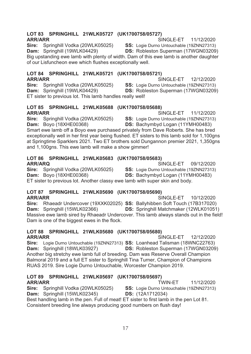### LOT 83 SPRINGHILL 21WLK05727 (UK1700758/05727) **ARR/ARR**

Sire: Springhill Vodka (20WLK05025)

SINGLE-FT 11/12/2020

SS: Logie Durno Untouchable (19ZNN27313)

Dam: Springhill (19WLK04429) DS: Robleston Superman (17WGN03209) Big upstanding ewe lamb with plenty of width. Dam of this ewe lamb is another daughter of our Lisfuncheon ewe which flushes exceptionally well.

### LOT 84 SPRINGHILL 21WLK05721 (UK1700758/05721)

**ARR/ARR** SINGLE-ET 12/12/2020 Sire: Springhill Vodka (20WLK05025) SS: Logie Durno Untouchable (19ZNN27313) Dam: Springhill (19WLK04429) ET sister to previous lot. This lamb handles really well!

#### LOT 85 SPRINGHILL 21WLK05688 (UK1700758/05688) **ARR/ARR** SINGLE-ET

Sire: Springhill Vodka (20WLK05025) SS: Logie Durno Untouchable (19ZNN27313) **Dam: Bovo (18XHE00368)** DS: Bachymbyd Logan (11YMH00483) Smart ewe lamb off a Boyo ewe purchased privately from Dave Roberts. She has bred exceptionally well in her first year being flushed. ET sisters to this lamb sold for 1,100gns at Springtime Sparklers 2021. Two ET brothers sold Dungannon premier 2021, 1,350gns and 1,100gns. This ewe lamb will make a show gimmer!

### LOT 86 SPRINGHILL 21WLK05683 (UK1700758/05683) **ARR/ARQ**

SINGLE-ET 09/12/2020 Sire: Springhill Vodka (20WLK05025) SS: Logie Durno Untouchable (19ZNN27313) Dam: Boyo (18XHE00368) **DS:** Bachymbyd Logan (11YMH00483) ET sister to previous lot. Another classy ewe lamb with super skin and body.

### LOT 87 SPRINGHILL 21WLK05690 (UK1700758/05690) **ARR/ARR**

SINGLE-ET 10/12/2020 Sire: Rhaeadr Undercover (19XXK02025) SS: Ballyhibben Soft Touch (17B317020) Dam: Springhill (15WLK02366) DS: Springhill Matchmaker (12WLK01051) Massive ewe lamb sired by Rhaeadr Undercover. This lamb always stands out in the field! Dam is one of the biggest ewes in the flock.

### LOT 88 SPRINGHILL 21WLK05680 (UK1700758/05680) **ARR/ARR**

SINGLE-FT 12/12/2020 Sire: Logie Durno Untouchable (19ZNN27313) SS: Loanhead Talisman (18WNC22763) DS: Robleston Superman (17WGN03209) Dam: Springhill (18WLK03927) Another big stretchy ewe lamb full of breeding. Dam was Reserve Overall Champion Balmoral 2019 and a full ET sister to Springhill Tina Turner, Champion of Champions RUAS 2019. Sire Logie Durno Untouchable, Worcester Champion 2019.

### LOT 89 SPRINGHILL 21WLK05697 (UK1700758/05697) **ARR/ARR**

TWIN-FT 11/12/2020 Sire: Springhill Vodka (20WLK05025) SS: Logie Durno Untouchable (19ZNN27313) Dam: Springhill (15WLK02345) **DS:** (12A1712034) Best handling lamb in the pen. Full of meat! ET sister to first lamb in the pen Lot 81. Consistent breeding line always producing good numbers on flush day!

11/12/2020

**DS:** Robleston Superman (17WGN03209)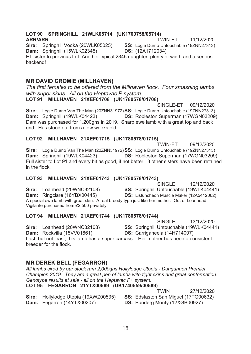### LOT 90 SPRINGHILL 21WLK05714 (UK1700758/05714) **ARR/ARR**

TWIN-FT 11/12/2020

Sire: Springhill Vodka (20WLK05025) Dam: Springhill (15WLK02345)

SS: Logie Durno Untouchable (19ZNN27313) DS: (12A1712034)

ET sister to previous Lot. Another typical 2345 daughter, plenty of width and a serious backend!

### **MR DAVID CROMIE (MILLHAVEN)**

The first females to be offered from the Millhaven flock. Four smashing lambs with super skins. All on the Heptavac P system.

### LOT 91 MILLHAVEN 21XEF01708 (UK1780578/01708)

SINGLE-ET 09/12/2020 Sire: Logie Durno Van The Man (20ZNN31972) SS: Logie Durno Untouchable (19ZNN27313) Dam: Springhill (19WLK04423) **DS: Robleston Superman (17WGN03209)** Dam was purchased for 1,200gns in 2019. Sharp ewe lamb with a great top and back end. Has stood out from a few weeks old.

### LOT 92 MILLHAVEN 21XEF01715 (UK1780578/01715)

**TWIN-FT** 09/12/2020 Sire: Logie Durno Van The Man (20ZNN31972) SS: Logie Durno Untouchable (19ZNN27313) Dam: Springhill (19WLK04423) **DS: Robleston Superman (17WGN03209)** Full sister to Lot 91 and every bit as good, if not better. 3 other sisters have been retained in the flock

### LOT 93 MILLHAVEN 21XEF01743 (UK1780578/01743)

SINGLE 12/12/2020 Sire: Loanhead (20WNC32108) SS: Springhill Untouchable (19WLK04441) Dam: Ringclare (16YBX00445) **DS:** Lisfuncheon Muscle Maker (12A5412062) A special ewe lamb with great skin. A real breedy type just like her mother. Out of Loanhead Vigilante purchased from £2,500 privately.

### LOT 94 MILLHAVEN 21XEF01744 (UK1780578/01744)

SINGLE 13/12/2020 SS: Springhill Untouchable (19WLK04441)

Sire: Loanhead (20WNC32108)

Dam: Rockvilla (15VV01861)

DS: Carriganeela (14H714007)

Last, but not least, this lamb has a super carcass. Her mother has been a consistent breeder for the flock.

### **MR DEREK BELL (FEGARRON)**

All lambs sired by our stock ram 2,000gns Hollylodge Utopia - Dungannon Premier Champion 2019. They are a great pen of lambs with tight skins and great conformation. Genotype results at sale - all on the Heptavac P+ system.

### LOT 95 FEGARRON 21YTX00569 (UK1740559/00569)

Sire: Hollylodge Utopia (19XWZ00535) Dam: Fegarron (14YTX00207)

27/12/2020 **TWIN** SS: Edstaston San Miguel (17TG00632) DS: Bunderg Monty (12XGB00927)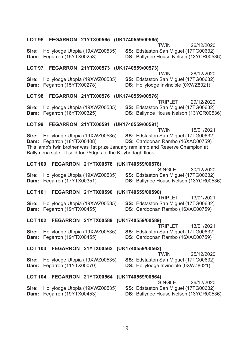| LOT 96         |                       | FEGARRON 21YTX00565 (UK1740559/00565)                                                          | TWIN                                                                                                                                                                       | 26/12/2020 |
|----------------|-----------------------|------------------------------------------------------------------------------------------------|----------------------------------------------------------------------------------------------------------------------------------------------------------------------------|------------|
| Sire:<br>Dam:  | Fegarron (15YTX00253) | Hollylodge Utopia (19XWZ00535)                                                                 | SS: Edstaston San Miguel (17TG00632)<br>DS: Ballynoe House Nelson (13YCR00536)                                                                                             |            |
| LOT 97         |                       | FEGARRON 21YTX00573 (UK1740559/00573)                                                          | TWIN                                                                                                                                                                       |            |
| Sire:<br>Dam:  | Fegarron (15YTX00278) | Hollylodge Utopia (19XWZ00535)                                                                 | SS: Edstaston San Miguel (17TG00632)<br>DS: Hollylodge Invincible (0XWZ8021)                                                                                               | 28/12/2020 |
| LOT 98         |                       | FEGARRON 21YTX00576 (UK1740559/00576)                                                          |                                                                                                                                                                            |            |
| Sire:<br>Dam:  | Fegarron (16YTX00325) | Hollylodge Utopia (19XWZ00535)                                                                 | TRIPLET<br>SS: Edstaston San Miguel (17TG00632)<br>DS: Ballynoe House Nelson (13YCR00536)                                                                                  | 29/12/2020 |
| LOT 99         |                       | FEGARRON 21YTX00591 (UK1740559/00591)                                                          |                                                                                                                                                                            |            |
| Sire:<br>Dam:  | Fegarron (18YTX00408) | Hollylodge Utopia (19XWZ00535)<br>Ballymena sale. It sold for 750gns to the Killybodagh flock. | <b>TWIN</b><br>SS: Edstaston San Miguel (17TG00632)<br>DS: Cardoonan Rambo (16XAC00759)<br>This lamb's twin brother was 1st prize January ram lamb and Reserve Champion at | 15/01/2021 |
| <b>LOT 100</b> |                       | FEGARRON 21YTX00578 (UK1740559/00578)                                                          |                                                                                                                                                                            |            |
| Sire:<br>Dam:  | Fegarron (17YTX00351) | Hollylodge Utopia (19XWZ00535)                                                                 | <b>SINGLE</b><br>SS: Edstaston San Miguel (17TG00632)<br>DS: Ballynoe House Nelson (13YCR00536)                                                                            | 30/12/2020 |
|                |                       | LOT 101 FEGARRON 21YTX00590 (UK1740559/00590)                                                  |                                                                                                                                                                            |            |
| Sire:<br>Dam:  | Fegarron (19YTX00455) | Hollylodge Utopia (19XWZ00535)                                                                 | TRIPLET<br>SS: Edstaston San Miguel (17TG00632)<br>DS: Cardoonan Rambo (16XAC00759)                                                                                        | 13/01/2021 |
| <b>LOT 102</b> |                       | FEGARRON 21YTX00589 (UK1740559/00589)                                                          |                                                                                                                                                                            |            |
| Sire:<br>Dam:  | Fegarron (19YTX00455) | Hollylodge Utopia (19XWZ00535)                                                                 | <b>TRIPLET</b><br>SS: Edstaston San Miguel (17TG00632)<br>DS: Cardoonan Rambo (16XAC00759)                                                                                 | 13/01/2021 |
| <b>LOT 103</b> |                       | FEGARRON 21YTX00562 (UK1740559/00562)                                                          |                                                                                                                                                                            |            |
| Sire:<br>Dam:  | Fegarron (11YTX00070) | Hollylodge Utopia (19XWZ00535)                                                                 | TWIN<br>SS: Edstaston San Miguel (17TG00632)<br>DS: Hollylodge Invincible (0XWZ8021)                                                                                       | 25/12/2020 |
|                |                       | LOT 104 FEGARRON 21YTX00564 (UK1740559/00564)                                                  |                                                                                                                                                                            |            |
| Sire:<br>Dam:  | Fegarron (19YTX00453) | Hollylodge Utopia (19XWZ00535)                                                                 | <b>SINGLE</b><br>SS: Edstaston San Miguel (17TG00632)<br>DS: Ballynoe House Nelson (13YCR00536)                                                                            | 26/12/2020 |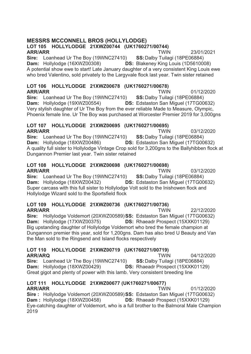### **MESSRS MCCONNELL BROS (HOLLYLODGE)**

#### LOT 105 HOLLYLODGE 21XWZ00744 (UK1760271/00744) **ARR/ARR TWIN**

Sire: Loanhead Ur The Boy (19WNC27410) SS: Dalby Tuilagi (18PE06884) Dam: Hollylodge (16XWZ00308) **DS: Blakenev King Louis (1D5610008)** A potential show ewe to start! Late January daughter of a very consistent King Louis ewe who bred Valentino, sold privately to the Largyvale flock last year. Twin sister retained

23/01/2021

03/12/2020

03/12/2020

### LOT 106 HOLLYLODGE 21XWZ00678 (UK1760271/00678)

**ARR/ARR TWIN** 01/12/2020 Sire: Loanhead Ur The Boy (19WNC27410) SS: Dalby Tuilagi (18PE06884) Dam: Hollylodge (19XWZ00554) **DS:** Edstaston San Miquel (17TG00632) Very stylish daughter of Ur The Boy from the ever reliable Made to Measure, Olympic, Phoenix female line. Ur The Boy was purchased at Worcester Premier 2019 for 3,000gns

#### LOT 107 HOLLYLODGE 21XWZ00695 (UK1760271/00695) **ARR/ARR TWIN**

Sire: Loanhead Ur The Boy (19WNC27410) SS: Dalby Tuilagi (18PE06884) Dam: Hollylodge (18XWZ00486) DS: Edstaston San Miquel (17TG00632) A quality full sister to Hollylodge Vintage Crop sold for 3,200gns to the Ballyhibben flock at Dungannon Premier last year. Twin sister retained

#### LOT 108 HOLLYLODGE 21XWZ00698 (UK1760271/00698) **ARR/ARR TWIN**

Sire: Loanhead Ur The Boy (19WNC27410) SS: Dalby Tuilagi (18PE06884) Dam: Hollylodge (18XWZ00432) DS: Edstaston San Miguel (17TG00632) Super carcass with this full sister to Hollylodge Volt sold to the Inishowen flock and Hollylodge Wizard sold to the Sportsfield flock

### LOT 109 HOLLYLODGE 21XWZ00736 (UK1760271/00736)

**ARR/ARR TWIN** 22/12/2020 Sire: Hollylodge Voldemort (20XWZ00589) SS: Edstaston San Miguel (17TG00632) Dam: Hollylodge (17XWZ00375) **DS:** Rhaeadr Prospect (15XXK01129) Big upstanding daughter of Hollylodge Voldemort who bred the female champion at Dungannon premier this year, sold for 1,200gns. Dam has also bred U Beauty and Van the Man sold to the Ringsend and Island flocks respectively

### LOT 110 HOLLYLODGE 21XWZ00719 (UK1760271/00719)

**ARR/ARQ TWIN** 04/12/2020 Sire: Loanhead Ur The Boy (19WNC27410) SS: Dalby Tuilagi (18PE06884) Dam: Hollylodge (18XWZ00429) **DS:** Rhaeadr Prospect (15XXK01129) Great gigot and plenty of power with this lamb. Very consistent breeding line

### LOT 111 HOLLYLODGE 21XWZ00677 (UK1760271/00677)

**ARR/ARR TWIN** 01/12/2020 Sire: Hollylodge Voldemort (20XWZ00589) SS: Edstaston San Miquel (17TG00632) Dam: Hollylodge (18XWZ00458) **DS:** Rhaeadr Prospect (15XXK01129) Eye-catching daughter of Voldemort, who is a full brother to the Balmoral Male Champion 2019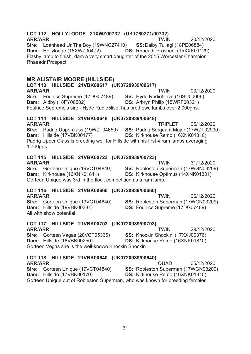### LOT 112 HOLLYLODGE 21XWZ00732 (UK1760271/00732)

**ARR/ARR TWIN** 20/12/2020 Sire: Loanhead Ur The Boy (19WNC27410) SS: Dalby Tuilagi (18PE06884) Dam: Hollylodge (18XWZ00472) **DS: Rhaeadr Prospect (15XXK01129)** Flashy lamb to finish, dam a very smart daughter of the 2015 Worcester Champion **Rhaeadr Prospect** 

### **MR ALISTAIR MOORE (HILLSIDE)**

LOT 113 HILLSIDE 21VBK00617 (UK0720939/00617) **TWIN** 03/12/2020 **ARR/ARR** Sire: Foulrice Supreme (17DG07489) SS: Hyde Radio5Live (16SU00606) **Dam:** Aldby (18FY00502) DS: Arbryn Philip (15WRF00321) Foulrice Supreme's sire - Hyde Radio5live, has bred ewe lambs over 2,000gns.

#### LOT 114 HILLSIDE 21VBK00648 (UK0720939/00648) **ARR/ARR** TRIPLET

Sire: Padrig Upperclass (19WZT04659) SS: Padrig Sergeant Major (17WZT02990) Dam: Hillside (17VBK00177) DS: Kirkhouse Remo (16XNK01810) Padrig Upper Class is breeding well for Hillside with his first 4 ram lambs averaging 1,700gns

05/12/2020

### LOT 115 HILLSIDE 21VBK00723 (UK0720939/00723)

**ARR/ARR** 

**TWIN** 31/12/2020 Sire: Gorteen Unique (19VCT04840) SS: Robleston Superman (17WGN03209) Dam: Kirkhouse (16XNK01811) **DS:** Kirkhouse Optimus (14XNK01301) Gorteen Unique was 3rd in the flock competition as a ram lamb.

### LOT 116 HILLSIDE 21VBK00660 (UK0720939/00660)

**ARR/ARR TWIN** 06/12/2020 Sire: Gorteen Unique (19VCT04840) **SS: Robleston Superman (17WGN03209)** Dam: Hillside (19VBK00381) **DS:** Foulrice Supreme (17DG07489) All with show potential

**TWIN** 

### LOT 117 HILLSIDE 21VBK00703 (UK0720939/00703)

### **ARR/ARR**

29/12/2020 Sire: Gorteen Vagas (20VCT05365) SS: Knockin Shockin' (17XXJ00376) Dam: Hillside (18VBK00250) DS: Kirkhouse Remo (16XNK01810) Gorteen Vegas sire is the well-known Knockin Shockin

### LOT 118 HILLSIDE 21VBK00640 (UK0720939/00640)

**QUAD ARR/ARR** 05/12/2020 Sire: Gorteen Unique (19VCT04840) SS: Robleston Superman (17WGN03209) Dam: Hillside (17VBK00170) DS: Kirkhouse Remo (16XNK01810) Gorteen Unique out of Robleston Superman, who was known for breeding females.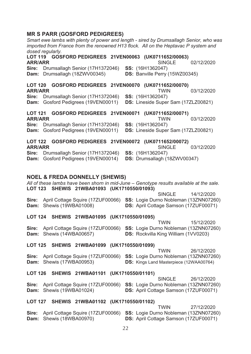### **MR S PARR (GOSFORD PEDIGREES)**

| dosed regularly.                 |                     | imported from France from the renowned H13 flock. All on the Heptavac P system and |  |                         | Smart ewe lambs with plenty of power and length - sired by Drumsallagh Senior, who was   |            |
|----------------------------------|---------------------|------------------------------------------------------------------------------------|--|-------------------------|------------------------------------------------------------------------------------------|------------|
| <b>LOT 119</b><br><b>ARR/ARR</b> |                     | GOSFORD PEDIGREES 21VEN00063 (UK0711652/00063)                                     |  |                         | <b>SINGLE</b>                                                                            | 02/12/2020 |
| Sire:<br><b>Dam:</b>             |                     | Drumsallagh Senior (17H1372046)<br>Drumsallagh (18ZWV00345)                        |  | <b>SS:</b> (16H1362047) | DS: Banville Perry (15WZ00345)                                                           |            |
| <b>LOT 120</b>                   |                     | GOSFORD PEDIGREES 21VEN00070 (UK0711652/00070)                                     |  |                         |                                                                                          |            |
| <b>ARR/ARR</b>                   |                     |                                                                                    |  |                         | <b>TWIN</b>                                                                              | 03/12/2020 |
| Sire:<br>Dam:                    |                     | Drumsallagh Senior (17H1372046)<br>Gosford Pedigrees (19VEN00011)                  |  | <b>SS:</b> (16H1362047) | DS: Lineside Super Sam (17ZLZ00821)                                                      |            |
| <b>LOT 121</b>                   |                     | GOSFORD PEDIGREES 21VEN00071 (UK0711652/00071)                                     |  |                         |                                                                                          |            |
| <b>ARR/ARR</b>                   |                     |                                                                                    |  |                         | <b>TWIN</b>                                                                              | 03/12/2020 |
| Sire:<br>Dam:                    |                     | Drumsallagh Senior (17H1372046)<br>Gosford Pedigrees (19VEN00011)                  |  | <b>SS:</b> (16H1362047) | DS: Lineside Super Sam (17ZLZ00821)                                                      |            |
| <b>LOT 122</b>                   |                     | GOSFORD PEDIGREES 21VEN00072 (UK0711652/00072)                                     |  |                         |                                                                                          |            |
| <b>ARR/ARR</b>                   |                     |                                                                                    |  |                         | <b>SINGLE</b>                                                                            | 03/12/2020 |
| Sire:<br>Dam:                    |                     | Drumsallagh Senior (17H1372046)<br>Gosford Pedigrees (19VEN00014)                  |  | SS: (16H1362047)        | DS: Drumsallagh (18ZWV00347)                                                             |            |
|                                  |                     |                                                                                    |  |                         |                                                                                          |            |
|                                  |                     | <b>NOEL &amp; FREDA DONNELLY (SHEWIS)</b>                                          |  |                         |                                                                                          |            |
|                                  |                     |                                                                                    |  |                         |                                                                                          |            |
|                                  |                     |                                                                                    |  |                         | All of these lambs have been shorn in mid-June - Genotype results available at the sale. |            |
|                                  |                     | LOT 123 SHEWIS 21WBA01093 (UK1710550/01093)                                        |  |                         | <b>SINGLE</b>                                                                            | 14/12/2020 |
| Sire:                            |                     | April Cottage Squire (17ZUF00066) SS: Logie Durno Nobleman (13ZNN07260)            |  |                         |                                                                                          |            |
| Dam:                             | Shewis (19WBA01008) |                                                                                    |  |                         | DS: April Cottage Samson (17ZUF00071)                                                    |            |
|                                  |                     | LOT 124 SHEWIS 21WBA01095 (UK1710550/01095)                                        |  |                         |                                                                                          |            |
|                                  |                     |                                                                                    |  |                         | <b>TWIN</b>                                                                              | 15/12/2020 |
| Sire:<br>Dam:                    | Shewis (14WBA00657) | April Cottage Squire (17ZUF00066)                                                  |  |                         | SS: Logie Durno Nobleman (13ZNN07260)<br><b>DS:</b> Rockvilla King William (1VV0203)     |            |
|                                  |                     | LOT 125 SHEWIS 21WBA01099 (UK1710550/01099)                                        |  |                         |                                                                                          |            |
|                                  |                     |                                                                                    |  |                         | TWIN                                                                                     | 26/12/2020 |
| Sire:<br>Dam:                    | Shewis (17WBA00953) | April Cottage Squire (17ZUF00066)                                                  |  |                         | SS: Logie Durno Nobleman (13ZNN07260)<br><b>DS:</b> Kings Land Masterpiece (12WAA00764)  |            |
| LOT 126                          |                     | SHEWIS 21WBA01101                                                                  |  | (UK1710550/01101)       |                                                                                          |            |
|                                  |                     |                                                                                    |  |                         | <b>SINGLE</b>                                                                            | 26/12/2020 |
| Sire:<br>Dam:                    | Shewis (19WBA01024) | April Cottage Squire (17ZUF00066)                                                  |  |                         | <b>SS:</b> Logie Durno Nobleman (13ZNN07260)<br>DS: April Cottage Samson (17ZUF00071)    |            |
| <b>LOT 127</b>                   |                     | SHEWIS 21WBA01102 (UK1710550/01102)                                                |  |                         |                                                                                          |            |
| Sire:                            |                     | April Cottage Squire (17ZUF00066)                                                  |  |                         | TWIN<br>SS: Logie Durno Nobleman (13ZNN07260)                                            | 27/12/2020 |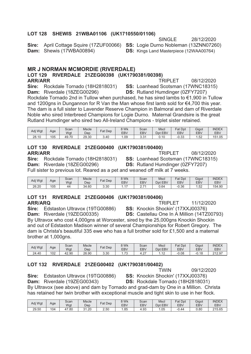### LOT 128 SHEWIS 21WBA01106 (UK1710550/01106)

Sire: April Cottage Squire (17ZUF00066) SS: Logie Durno Nobleman (13ZNN07260) Dam: Shewis (17WBA00894)

**SINGLE** 28/12/2020 **DS:** Kings Land Masterpiece (12WAA00764)

08/12/2020

### **MR J NORMAN MCMORDIE (RIVERDALE)**

#### LOT 129 RIVERDALE 21ZEG00398 (UK1790381/00398) **ARR/ARR TRIPLET**

Sire: Rockdale Tornado (18H2818031) SS: Loanhead Scotsman (17WNC18315) Dam: Riverdale (18ZEG00296) **DS:** Rutland Humdinger (0ZFY7207) Rockdale Tornado 2nd in Tullow when purchased, he has sired lambs to €1,900 in Tullow and 1200gns in Dungannon for R Van the Man whose first lamb sold for €4,700 this year. The dam is a full sister to Lavender Reserve Champion in Balmoral and dam of Riverdale Noble who sired Interbreed Champions for Logie Durno. Maternal Grandsire is the great Rutland Humdinger who sired two All-Ireland Champions - triplet sister retained.

| Adj Wgt | Age | Scan<br>Wgt | Mscle<br>Dep | Fat Dep | 8 Wk<br><b>EBV</b> | Scan<br>EBV   | <b>Mscl</b><br><b>EBV</b><br>Dpt | Fat Dpt<br>EB <sub>V</sub> | Gigot<br>EB\ | <b>INDEX</b><br>EBV |
|---------|-----|-------------|--------------|---------|--------------------|---------------|----------------------------------|----------------------------|--------------|---------------------|
| 28.10   | 105 | 49.70       | 29.30        | 3.40    | . .09              | $\sim$<br>ບ.ບ | $\overline{A}$<br>v. I v         | $\sim$<br>-U.33            | 1.52         | 151.05              |

### LOT 130 RIVERDALE 21ZEG00400 (UK1790381/00400) **ARR/ARR**

**TRIPLET** 08/12/2020 Sire: Rockdale Tornado (18H2818031) SS: Loanhead Scotsman (17WNC18315) Dam: Riverdale (18ZEG00296) **DS:** Rutland Humdinger (0ZFY7207) Full sister to previous lot. Reared as a pet and weaned off milk at 7 weeks.

| Adj Wgt | Age | Scan<br>Wgt | <b>Mscle</b><br>Dep | Fat Dep | <b>SWK</b><br>EBV | Scan<br><b>EBV</b>        | Mscl<br><b>EBV</b><br>Dpt | Fat Dpt<br>EBV | Gigot<br>EB\ | <b>INDEX</b><br><b>EBV</b> |
|---------|-----|-------------|---------------------|---------|-------------------|---------------------------|---------------------------|----------------|--------------|----------------------------|
| 26.20   | 105 | 44          | 34.60               | 3.30    |                   | $\rightarrow$<br><u>.</u> | 0.64                      | $-0.36$        | 52<br>ے بی ا | 154.90                     |

### LOT 131 RIVERDALE 21ZEG00406 (UK1790381/00406) **ARR/ARO**

Sire: Edstaston Ultravox (19TG00886) Dam: Riverdale (19ZEG00335)

TRIPI FT 11/12/2020 SS: Knockin Shockin' (17XXJ00376) DS: Castellau One In A Million (14TZ00793)

By Ultravox who cost 4,000gns at Worcester, sired by the 25,000gns Knockin Shockin and out of Edstaston Madison winner of several Championships for Robert Gregory. The dam is Christa's beautiful 335 ewe who has a full brother sold for £1,500 and a maternal brother at 1,000gns.

| Adj Wgt | Age | Scan  | <b>Mscle</b> | Fat Dep | 3 Wk                    | Scan               | Mscl              | Fat Dpt | Gigot   | <b>INDEX</b> |
|---------|-----|-------|--------------|---------|-------------------------|--------------------|-------------------|---------|---------|--------------|
|         |     | Wgt   | Dep          |         | EBV                     | <b>EBV</b>         | <b>EBV</b><br>Dpt | EB\     | EB\     | EBV          |
| 24.40   | 102 | 42.90 | 26.90        | 3.30    | $\overline{z}$<br>ن ، ، | $\sim$<br>u<br>. ۷ | $\sqrt{2}$<br>.   | $-0.08$ | $-0.18$ | 212.97       |

### LOT 132 RIVERDALE 21ZEG00402 (UK1790381/00402)

**TWIN** SS: Knockin Shockin' (17XXJ00376) Sire: Edstaston Ultravox (19TG00886) Dam: Riverdale (19ZEG00343) DS: Rockdale Tornado (18H2818031)

By Ultravox (see above) and dam by Tornado and grad-dam by One in a Million. Christa has retained her twin brother with exceptional muscle and tight skin to use in her flock.

| Adj Wgt | Age | Scan             | <b>Mscle</b>    | Dep<br>Fat | 8 Wk | Scan | Mscl       | $=$ at<br>Dpt | Gigot | <b>INDEX</b> |
|---------|-----|------------------|-----------------|------------|------|------|------------|---------------|-------|--------------|
|         |     | Wgt              | Dep             |            | EB\  | EBV  | EBV<br>Dpt | EBV           | EB\   | EBV          |
| 29.50   | 104 | . –<br>.80<br>4, | 31.20<br>$\sim$ | 2.50       | .85  | 1.93 | .05        | 44            | 0.80  | 215.65       |

09/12/2020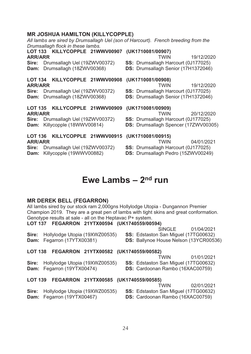### **MR JOSHUA HAMILTON (KILLYCOPPLE)**

| All lambs are sired by Drumsallagh Uel (son of Harcourt). French breeding from the    |                                                                                         |
|---------------------------------------------------------------------------------------|-----------------------------------------------------------------------------------------|
| Drumsallagh flock in these lambs.<br>LOT 133 KILLYCOPPLE 21WWV00907 (UK1710081/00907) |                                                                                         |
| <b>ARR/ARR</b>                                                                        | 19/12/2020<br><b>TWIN</b>                                                               |
| Sire: Drumsallagh Uel (19ZWV00372)<br>Dam: Drumsallagh (18ZWV00368)                   | <b>SS: Drumsallagh Harcourt (0J177025)</b><br>DS: Drumsallagh Senior (17H1372046)       |
| LOT 134 KILLYCOPPLE 21WWV00908                                                        | (UK1710081/00908)                                                                       |
| <b>ARR/ARR</b>                                                                        | TWIN<br>19/12/2020                                                                      |
| Drumsallagh Uel (19ZWV00372)<br>Sire:                                                 | SS: Drumsallagh Harcourt (0J177025)                                                     |
| Dam: Drumsallagh (18ZWV00368)                                                         | DS: Drumsallagh Senior (17H1372046)                                                     |
| LOT 135 KILLYCOPPLE 21WWV00909 (UK1710081/00909)                                      |                                                                                         |
| <b>ARR/ARR</b>                                                                        | <b>TWIN</b><br>20/12/2020                                                               |
| Drumsallagh Uel (19ZWV00372)<br>Sire:                                                 | <b>SS: Drumsallagh Harcourt (0J177025)</b>                                              |
| Killycopple (18WWV00814)<br>Dam:                                                      | DS: Drumsallagh Spencer (17ZWV00305)                                                    |
| LOT 136 KILLYCOPPLE 21WWV00915<br><b>ARR/ARR</b>                                      | (UK1710081/00915)<br>TWIN<br>04/01/2021                                                 |
| Drumsallagh Uel (19ZWV00372)<br>Sire:<br>Killycopple (19WWV00882)<br>Dam:             | <b>SS: Drumsallagh Harcourt (0J177025)</b><br><b>DS:</b> Drumsallagh Pedro (15ZWV00249) |
|                                                                                       |                                                                                         |

## Ewe Lambs  $-2<sup>nd</sup>$  run

### **MR DEREK BELL (FEGARRON)**

All lambs sired by our stock ram 2,000gns Hollylodge Utopia - Dungannon Premier Champion 2019. They are a great pen of lambs with tight skins and great conformation. Genotype results at sale - all on the Heptavac P+ system.

LOT 137 FEGARRON 21YTX00594 (UK1740559/00594)

SINGLE 01/04/2021 Sire: Hollylodge Utopia (19XWZ00535) SS: Edstaston San Miquel (17TG00632) Dam: Fegarron (17YTX00381) DS: Ballynoe House Nelson (13YCR00536)

### LOT 138 FEGARRON 21YTX00582 (UK1740559/00582)

Sire: Hollylodge Utopia (19XWZ00535) Dam: Fegarron (19YTX00474)

**TWIN** 01/01/2021 SS: Edstaston San Miquel (17TG00632)

DS: Cardoonan Rambo (16XAC00759)

### LOT 139 FEGARRON 21YTX00585 (UK1740559/00585)

**TWIN** 02/01/2021 SS: Edstaston San Miguel (17TG00632)

Sire: Hollylodge Utopia (19XWZ00535) Dam: Fegarron (19YTX00467)

DS: Cardoonan Rambo (16XAC00759)